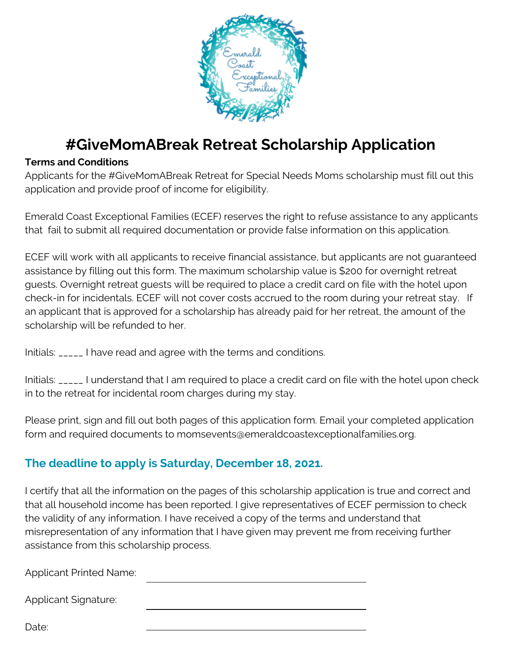

## **#GiveMomABreak Retreat Scholarship Application**

## **Terms and Conditions**

Applicants for the #GiveMomABreak Retreat for Special Needs Moms scholarship must fill out this application and provide proof of income for eligibility.

Emerald Coast Exceptional Families (ECEF) reserves the right to refuse assistance to any applicants that fail to submit all required documentation or provide false information on this application.

ECEF will work with all applicants to receive financial assistance, but applicants are not guaranteed assistance by filling out this form. The maximum scholarship value is \$200 for overnight retreat guests. Overnight retreat guests will be required to place a credit card on file with the hotel upon check-in for incidentals. ECEF will not cover costs accrued to the room during your retreat stay. If an applicant that is approved for a scholarship has already paid for her retreat, the amount of the scholarship will be refunded to her.

Initials: \_\_\_\_\_ I have read and agree with the terms and conditions.

Initials: \_\_\_\_\_ I understand that I am required to place a credit card on file with the hotel upon check in to the retreat for incidental room charges during my stay.

Please print, sign and fill out both pages of this application form. Email your completed application form and required documents to momsevents@emeraldcoastexceptionalfamilies.org.

## **The deadline to apply is Saturday, December 18, 2021.**

I certify that all the information on the pages of this scholarship application is true and correct and that all household income has been reported. I give representatives of ECEF permission to check the validity of any information. I have received a copy of the terms and understand that misrepresentation of any information that I have given may prevent me from receiving further assistance from this scholarship process.

Applicant Printed Name:

Applicant Signature:

Date: